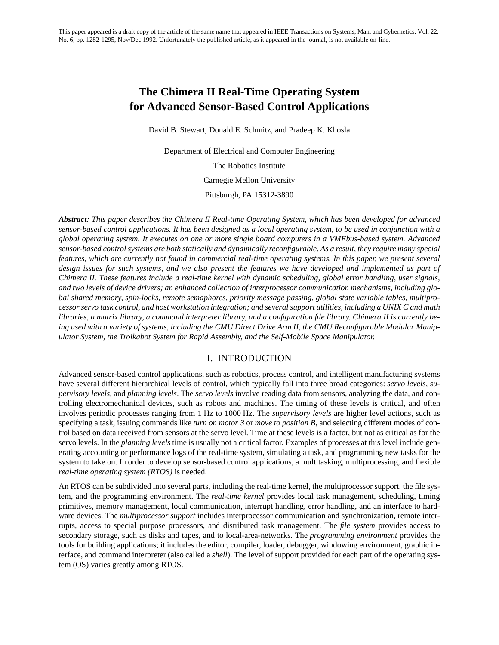# **The Chimera II Real-Time Operating System for Advanced Sensor-Based Control Applications**

David B. Stewart, Donald E. Schmitz, and Pradeep K. Khosla

Department of Electrical and Computer Engineering The Robotics Institute Carnegie Mellon University Pittsburgh, PA 15312-3890

*Abstract: This paper describes the Chimera II Real-time Operating System, which has been developed for advanced sensor-based control applications. It has been designed as a local operating system, to be used in conjunction with a global operating system. It executes on one or more single board computers in a VMEbus-based system. Advanced sensor-based control systems are both statically and dynamically reconfigurable. As a result, they require many special features, which are currently not found in commercial real-time operating systems. In this paper, we present several design issues for such systems, and we also present the features we have developed and implemented as part of Chimera II. These features include a real-time kernel with dynamic scheduling, global error handling, user signals, and two levels of device drivers; an enhanced collection of interprocessor communication mechanisms, including global shared memory, spin-locks, remote semaphores, priority message passing, global state variable tables, multiprocessor servo task control, and host workstation integration; and several support utilities, including a UNIX C and math libraries, a matrix library, a command interpreter library, and a configuration file library. Chimera II is currently being used with a variety of systems, including the CMU Direct Drive Arm II, the CMU Reconfigurable Modular Manipulator System, the Troikabot System for Rapid Assembly, and the Self-Mobile Space Manipulator.*

# I. INTRODUCTION

Advanced sensor-based control applications, such as robotics, process control, and intelligent manufacturing systems have several different hierarchical levels of control, which typically fall into three broad categories: *servo levels, supervisory levels,* and *planning levels*. The *servo levels* involve reading data from sensors, analyzing the data, and controlling electromechanical devices, such as robots and machines. The timing of these levels is critical, and often involves periodic processes ranging from 1 Hz to 1000 Hz. The *supervisory levels* are higher level actions, such as specifying a task, issuing commands like *turn on motor 3* or *move to position B*, and selecting different modes of control based on data received from sensors at the servo level. Time at these levels is a factor, but not as critical as for the servo levels. In the *planning levels* time is usually not a critical factor. Examples of processes at this level include generating accounting or performance logs of the real-time system, simulating a task, and programming new tasks for the system to take on. In order to develop sensor-based control applications, a multitasking, multiprocessing, and flexible *real-time operating system (RTOS)* is needed.

An RTOS can be subdivided into several parts, including the real-time kernel, the multiprocessor support, the file system, and the programming environment. The *real-time kernel* provides local task management, scheduling, timing primitives, memory management, local communication, interrupt handling, error handling, and an interface to hardware devices. The *multiprocessor support* includes interprocessor communication and synchronization, remote interrupts, access to special purpose processors, and distributed task management. The *file system* provides access to secondary storage, such as disks and tapes, and to local-area-networks. The *programming environment* provides the tools for building applications; it includes the editor, compiler, loader, debugger, windowing environment, graphic interface, and command interpreter (also called a *shell*). The level of support provided for each part of the operating system (OS) varies greatly among RTOS.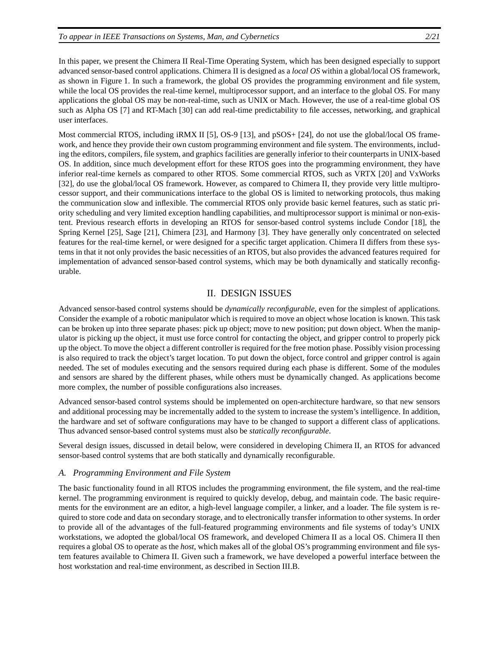In this paper, we present the Chimera II Real-Time Operating System, which has been designed especially to support advanced sensor-based control applications. Chimera II is designed as a *local OS* within a global/local OS framework, as shown in Figure 1. In such a framework, the global OS provides the programming environment and file system, while the local OS provides the real-time kernel, multiprocessor support, and an interface to the global OS. For many applications the global OS may be non-real-time, such as UNIX or Mach. However, the use of a real-time global OS such as Alpha OS [7] and RT-Mach [30] can add real-time predictability to file accesses, networking, and graphical user interfaces.

Most commercial RTOS, including iRMX II [5], OS-9 [13], and pSOS+ [24], do not use the global/local OS framework, and hence they provide their own custom programming environment and file system. The environments, including the editors, compilers, file system, and graphics facilities are generally inferior to their counterparts in UNIX-based OS. In addition, since much development effort for these RTOS goes into the programming environment, they have inferior real-time kernels as compared to other RTOS. Some commercial RTOS, such as VRTX [20] and VxWorks [32], do use the global/local OS framework. However, as compared to Chimera II, they provide very little multiprocessor support, and their communications interface to the global OS is limited to networking protocols, thus making the communication slow and inflexible. The commercial RTOS only provide basic kernel features, such as static priority scheduling and very limited exception handling capabilities, and multiprocessor support is minimal or non-existent. Previous research efforts in developing an RTOS for sensor-based control systems include Condor [18], the Spring Kernel [25], Sage [21], Chimera [23], and Harmony [3]. They have generally only concentrated on selected features for the real-time kernel, or were designed for a specific target application. Chimera II differs from these systems in that it not only provides the basic necessities of an RTOS, but also provides the advanced features required for implementation of advanced sensor-based control systems, which may be both dynamically and statically reconfigurable.

### II. DESIGN ISSUES

Advanced sensor-based control systems should be *dynamically reconfigurable*, even for the simplest of applications. Consider the example of a robotic manipulator which is required to move an object whose location is known. This task can be broken up into three separate phases: pick up object; move to new position; put down object. When the manipulator is picking up the object, it must use force control for contacting the object, and gripper control to properly pick up the object. To move the object a different controller is required for the free motion phase. Possibly vision processing is also required to track the object's target location. To put down the object, force control and gripper control is again needed. The set of modules executing and the sensors required during each phase is different. Some of the modules and sensors are shared by the different phases, while others must be dynamically changed. As applications become more complex, the number of possible configurations also increases.

Advanced sensor-based control systems should be implemented on open-architecture hardware, so that new sensors and additional processing may be incrementally added to the system to increase the system's intelligence. In addition, the hardware and set of software configurations may have to be changed to support a different class of applications. Thus advanced sensor-based control systems must also be *statically reconfigurable*.

Several design issues, discussed in detail below, were considered in developing Chimera II, an RTOS for advanced sensor-based control systems that are both statically and dynamically reconfigurable.

#### *A. Programming Environment and File System*

The basic functionality found in all RTOS includes the programming environment, the file system, and the real-time kernel. The programming environment is required to quickly develop, debug, and maintain code. The basic requirements for the environment are an editor, a high-level language compiler, a linker, and a loader. The file system is required to store code and data on secondary storage, and to electronically transfer information to other systems. In order to provide all of the advantages of the full-featured programming environments and file systems of today's UNIX workstations, we adopted the global/local OS framework, and developed Chimera II as a local OS. Chimera II then requires a global OS to operate as the *host*, which makes all of the global OS's programming environment and file system features available to Chimera II. Given such a framework, we have developed a powerful interface between the host workstation and real-time environment, as described in Section III.B.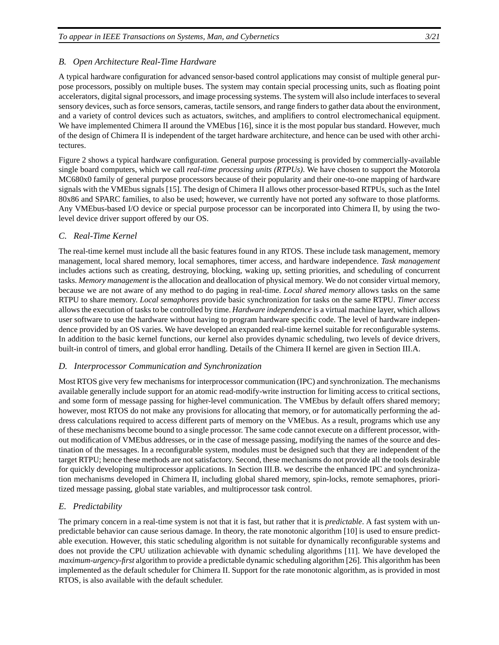A typical hardware configuration for advanced sensor-based control applications may consist of multiple general purpose processors, possibly on multiple buses. The system may contain special processing units, such as floating point accelerators, digital signal processors, and image processing systems. The system will also include interfaces to several sensory devices, such as force sensors, cameras, tactile sensors, and range finders to gather data about the environment, and a variety of control devices such as actuators, switches, and amplifiers to control electromechanical equipment. We have implemented Chimera II around the VMEbus [16], since it is the most popular bus standard. However, much of the design of Chimera II is independent of the target hardware architecture, and hence can be used with other architectures.

Figure 2 shows a typical hardware configuration. General purpose processing is provided by commercially-available single board computers, which we call *real-time processing units (RTPUs)*. We have chosen to support the Motorola MC680x0 family of general purpose processors because of their popularity and their one-to-one mapping of hardware signals with the VMEbus signals [15]. The design of Chimera II allows other processor-based RTPUs, such as the Intel 80x86 and SPARC families, to also be used; however, we currently have not ported any software to those platforms. Any VMEbus-based I/O device or special purpose processor can be incorporated into Chimera II, by using the twolevel device driver support offered by our OS.

### *C. Real-Time Kernel*

The real-time kernel must include all the basic features found in any RTOS. These include task management, memory management, local shared memory, local semaphores, timer access, and hardware independence. *Task management* includes actions such as creating, destroying, blocking, waking up, setting priorities, and scheduling of concurrent tasks. *Memory management* is the allocation and deallocation of physical memory. We do not consider virtual memory, because we are not aware of any method to do paging in real-time. *Local shared memory* allows tasks on the same RTPU to share memory. *Local semaphores* provide basic synchronization for tasks on the same RTPU. *Timer access* allows the execution of tasks to be controlled by time. *Hardware independence* is a virtual machine layer, which allows user software to use the hardware without having to program hardware specific code. The level of hardware independence provided by an OS varies. We have developed an expanded real-time kernel suitable for reconfigurable systems. In addition to the basic kernel functions, our kernel also provides dynamic scheduling, two levels of device drivers, built-in control of timers, and global error handling. Details of the Chimera II kernel are given in Section III.A.

### *D. Interprocessor Communication and Synchronization*

Most RTOS give very few mechanisms for interprocessor communication (IPC) and synchronization. The mechanisms available generally include support for an atomic read-modify-write instruction for limiting access to critical sections, and some form of message passing for higher-level communication. The VMEbus by default offers shared memory; however, most RTOS do not make any provisions for allocating that memory, or for automatically performing the address calculations required to access different parts of memory on the VMEbus. As a result, programs which use any of these mechanisms become bound to a single processor. The same code cannot execute on a different processor, without modification of VMEbus addresses, or in the case of message passing, modifying the names of the source and destination of the messages. In a reconfigurable system, modules must be designed such that they are independent of the target RTPU; hence these methods are not satisfactory. Second, these mechanisms do not provide all the tools desirable for quickly developing multiprocessor applications. In Section III.B. we describe the enhanced IPC and synchronization mechanisms developed in Chimera II, including global shared memory, spin-locks, remote semaphores, prioritized message passing, global state variables, and multiprocessor task control.

# *E. Predictability*

The primary concern in a real-time system is not that it is fast, but rather that it is *predictable*. A fast system with unpredictable behavior can cause serious damage. In theory, the rate monotonic algorithm [10] is used to ensure predictable execution. However, this static scheduling algorithm is not suitable for dynamically reconfigurable systems and does not provide the CPU utilization achievable with dynamic scheduling algorithms [11]. We have developed the *maximum-urgency-first* algorithm to provide a predictable dynamic scheduling algorithm [26]. This algorithm has been implemented as the default scheduler for Chimera II. Support for the rate monotonic algorithm, as is provided in most RTOS, is also available with the default scheduler.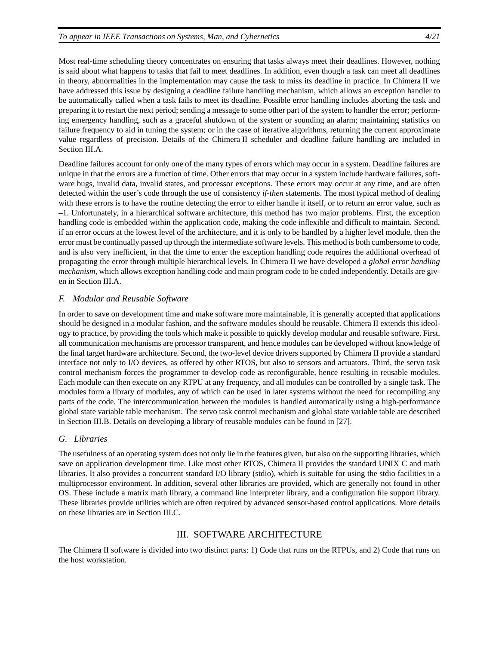Most real-time scheduling theory concentrates on ensuring that tasks always meet their deadlines. However, nothing is said about what happens to tasks that fail to meet deadlines. In addition, even though a task can meet all deadlines in theory, abnormalities in the implementation may cause the task to miss its deadline in practice. In Chimera II we have addressed this issue by designing a deadline failure handling mechanism, which allows an exception handler to be automatically called when a task fails to meet its deadline. Possible error handling includes aborting the task and preparing it to restart the next period; sending a message to some other part of the system to handler the error; performing emergency handling, such as a graceful shutdown of the system or sounding an alarm; maintaining statistics on failure frequency to aid in tuning the system; or in the case of iterative algorithms, returning the current approximate value regardless of precision. Details of the Chimera II scheduler and deadline failure handling are included in Section III.A.

Deadline failures account for only one of the many types of errors which may occur in a system. Deadline failures are unique in that the errors are a function of time. Other errors that may occur in a system include hardware failures, software bugs, invalid data, invalid states, and processor exceptions. These errors may occur at any time, and are often detected within the user's code through the use of consistency *if-then* statements. The most typical method of dealing with these errors is to have the routine detecting the error to either handle it itself, or to return an error value, such as –1. Unfortunately, in a hierarchical software architecture, this method has two major problems. First, the exception handling code is embedded within the application code, making the code inflexible and difficult to maintain. Second, if an error occurs at the lowest level of the architecture, and it is only to be handled by a higher level module, then the error must be continually passed up through the intermediate software levels. This method is both cumbersome to code, and is also very inefficient, in that the time to enter the exception handling code requires the additional overhead of propagating the error through multiple hierarchical levels. In Chimera II we have developed a *global error handling mechanism*, which allows exception handling code and main program code to be coded independently. Details are given in Section III.A.

### *F. Modular and Reusable Software*

In order to save on development time and make software more maintainable, it is generally accepted that applications should be designed in a modular fashion, and the software modules should be reusable. Chimera II extends this ideology to practice, by providing the tools which make it possible to quickly develop modular and reusable software. First, all communication mechanisms are processor transparent, and hence modules can be developed without knowledge of the final target hardware architecture. Second, the two-level device drivers supported by Chimera II provide a standard interface not only to I/O devices, as offered by other RTOS, but also to sensors and actuators. Third, the servo task control mechanism forces the programmer to develop code as reconfigurable, hence resulting in reusable modules. Each module can then execute on any RTPU at any frequency, and all modules can be controlled by a single task. The modules form a library of modules, any of which can be used in later systems without the need for recompiling any parts of the code. The intercommunication between the modules is handled automatically using a high-performance global state variable table mechanism. The servo task control mechanism and global state variable table are described in Section III.B. Details on developing a library of reusable modules can be found in [27].

### *G. Libraries*

The usefulness of an operating system does not only lie in the features given, but also on the supporting libraries, which save on application development time. Like most other RTOS, Chimera II provides the standard UNIX C and math libraries. It also provides a concurrent standard I/O library (stdio), which is suitable for using the stdio facilities in a multiprocessor environment. In addition, several other libraries are provided, which are generally not found in other OS. These include a matrix math library, a command line interpreter library, and a configuration file support library. These libraries provide utilities which are often required by advanced sensor-based control applications. More details on these libraries are in Section III.C.

### III. SOFTWARE ARCHITECTURE

The Chimera II software is divided into two distinct parts: 1) Code that runs on the RTPUs, and 2) Code that runs on the host workstation.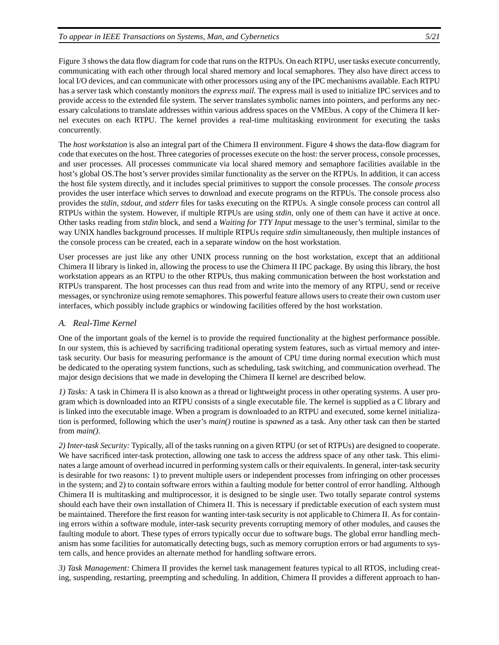Figure 3 shows the data flow diagram for code that runs on the RTPUs. On each RTPU, user tasks execute concurrently, communicating with each other through local shared memory and local semaphores. They also have direct access to local I/O devices, and can communicate with other processors using any of the IPC mechanisms available. Each RTPU has a server task which constantly monitors the *express mail*. The express mail is used to initialize IPC services and to provide access to the extended file system. The server translates symbolic names into pointers, and performs any necessary calculations to translate addresses within various address spaces on the VMEbus. A copy of the Chimera II kernel executes on each RTPU. The kernel provides a real-time multitasking environment for executing the tasks concurrently.

The *host workstation* is also an integral part of the Chimera II environment. Figure 4 shows the data-flow diagram for code that executes on the host. Three categories of processes execute on the host: the server process, console processes, and user processes. All processes communicate via local shared memory and semaphore facilities available in the host's global OS.The host's server provides similar functionality as the server on the RTPUs. In addition, it can access the host file system directly, and it includes special primitives to support the console processes. The *console process* provides the user interface which serves to download and execute programs on the RTPUs. The console process also provides the *stdin, stdout, a*nd *stderr* files for tasks executing on the RTPUs. A single console process can control all RTPUs within the system. However, if multiple RTPUs are using *stdin*, only one of them can have it active at once. Other tasks reading from *stdin* block, and send a *Waiting for TTY Input* message to the user's terminal, similar to the way UNIX handles background processes. If multiple RTPUs require *stdin* simultaneously, then multiple instances of the console process can be created, each in a separate window on the host workstation.

User processes are just like any other UNIX process running on the host workstation, except that an additional Chimera II library is linked in, allowing the process to use the Chimera II IPC package. By using this library, the host workstation appears as an RTPU to the other RTPUs, thus making communication between the host workstation and RTPUs transparent. The host processes can thus read from and write into the memory of any RTPU, send or receive messages, or synchronize using remote semaphores. This powerful feature allows users to create their own custom user interfaces, which possibly include graphics or windowing facilities offered by the host workstation.

#### *A. Real-Time Kernel*

One of the important goals of the kernel is to provide the required functionality at the highest performance possible. In our system, this is achieved by sacrificing traditional operating system features, such as virtual memory and intertask security. Our basis for measuring performance is the amount of CPU time during normal execution which must be dedicated to the operating system functions, such as scheduling, task switching, and communication overhead. The major design decisions that we made in developing the Chimera II kernel are described below.

*1) Tasks:* A task in Chimera II is also known as a thread or lightweight process in other operating systems. A user program which is downloaded into an RTPU consists of a single executable file. The kernel is supplied as a C library and is linked into the executable image. When a program is downloaded to an RTPU and executed, some kernel initialization is performed, following which the user's *main()* routine is *spawned* as a task. Any other task can then be started from *main()*.

*2) Inter-task Security:* Typically, all of the tasks running on a given RTPU (or set of RTPUs) are designed to cooperate. We have sacrificed inter-task protection, allowing one task to access the address space of any other task. This eliminates a large amount of overhead incurred in performing system calls or their equivalents. In general, inter-task security is desirable for two reasons: 1) to prevent multiple users or independent processes from infringing on other processes in the system; and 2) to contain software errors within a faulting module for better control of error handling. Although Chimera II is multitasking and multiprocessor, it is designed to be single user. Two totally separate control systems should each have their own installation of Chimera II. This is necessary if predictable execution of each system must be maintained. Therefore the first reason for wanting inter-task security is not applicable to Chimera II. As for containing errors within a software module, inter-task security prevents corrupting memory of other modules, and causes the faulting module to abort. These types of errors typically occur due to software bugs. The global error handling mechanism has some facilities for automatically detecting bugs, such as memory corruption errors or bad arguments to system calls, and hence provides an alternate method for handling software errors.

*3) Task Management:* Chimera II provides the kernel task management features typical to all RTOS, including creating, suspending, restarting, preempting and scheduling. In addition, Chimera II provides a different approach to han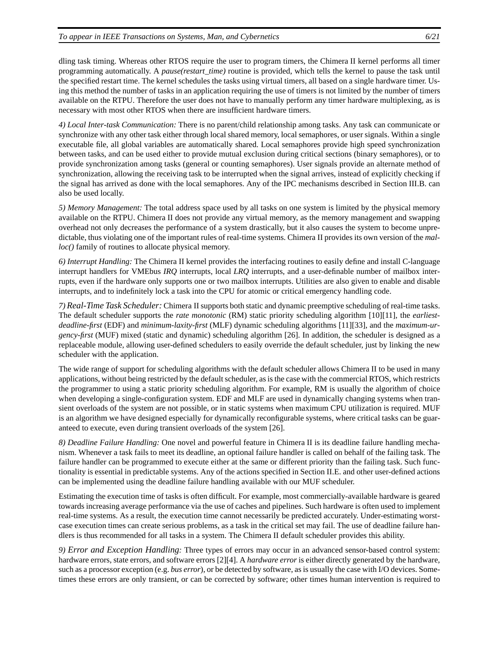dling task timing. Whereas other RTOS require the user to program timers, the Chimera II kernel performs all timer programming automatically. A *pause(restart\_time)* routine is provided, which tells the kernel to pause the task until the specified restart time. The kernel schedules the tasks using virtual timers, all based on a single hardware timer. Using this method the number of tasks in an application requiring the use of timers is not limited by the number of timers available on the RTPU. Therefore the user does not have to manually perform any timer hardware multiplexing, as is necessary with most other RTOS when there are insufficient hardware timers.

*4) Local Inter-task Communication:* There is no parent/child relationship among tasks. Any task can communicate or synchronize with any other task either through local shared memory, local semaphores, or user signals. Within a single executable file, all global variables are automatically shared. Local semaphores provide high speed synchronization between tasks, and can be used either to provide mutual exclusion during critical sections (binary semaphores), or to provide synchronization among tasks (general or counting semaphores). User signals provide an alternate method of synchronization, allowing the receiving task to be interrupted when the signal arrives, instead of explicitly checking if the signal has arrived as done with the local semaphores. Any of the IPC mechanisms described in Section III.B. can also be used locally.

*5) Memory Management:* The total address space used by all tasks on one system is limited by the physical memory available on the RTPU. Chimera II does not provide any virtual memory, as the memory management and swapping overhead not only decreases the performance of a system drastically, but it also causes the system to become unpredictable, thus violating one of the important rules of real-time systems. Chimera II provides its own version of the *malloc()* family of routines to allocate physical memory.

*6) Interrupt Handling:* The Chimera II kernel provides the interfacing routines to easily define and install C-language interrupt handlers for VMEbus *IRQ* interrupts, local *LRQ* interrupts, and a user-definable number of mailbox interrupts, even if the hardware only supports one or two mailbox interrupts. Utilities are also given to enable and disable interrupts, and to indefinitely lock a task into the CPU for atomic or critical emergency handling code.

*7) Real-Time Task Scheduler:* Chimera II supports both static and dynamic preemptive scheduling of real-time tasks. The default scheduler supports the *rate monotonic* (RM) static priority scheduling algorithm [10][11], the *earliestdeadline-first* (EDF) and *minimum-laxity-first* (MLF) dynamic scheduling algorithms [11][33], and the *maximum-urgency-first* (MUF) mixed (static and dynamic) scheduling algorithm [26]. In addition, the scheduler is designed as a replaceable module, allowing user-defined schedulers to easily override the default scheduler, just by linking the new scheduler with the application.

The wide range of support for scheduling algorithms with the default scheduler allows Chimera II to be used in many applications, without being restricted by the default scheduler, as is the case with the commercial RTOS, which restricts the programmer to using a static priority scheduling algorithm. For example, RM is usually the algorithm of choice when developing a single-configuration system. EDF and MLF are used in dynamically changing systems when transient overloads of the system are not possible, or in static systems when maximum CPU utilization is required. MUF is an algorithm we have designed especially for dynamically reconfigurable systems, where critical tasks can be guaranteed to execute, even during transient overloads of the system [26].

*8) Deadline Failure Handling:* One novel and powerful feature in Chimera II is its deadline failure handling mechanism. Whenever a task fails to meet its deadline, an optional failure handler is called on behalf of the failing task. The failure handler can be programmed to execute either at the same or different priority than the failing task. Such functionality is essential in predictable systems. Any of the actions specified in Section II.E. and other user-defined actions can be implemented using the deadline failure handling available with our MUF scheduler.

Estimating the execution time of tasks is often difficult. For example, most commercially-available hardware is geared towards increasing average performance via the use of caches and pipelines. Such hardware is often used to implement real-time systems. As a result, the execution time cannot necessarily be predicted accurately. Under-estimating worstcase execution times can create serious problems, as a task in the critical set may fail. The use of deadline failure handlers is thus recommended for all tasks in a system. The Chimera II default scheduler provides this ability.

*9) Error and Exception Handling:* Three types of errors may occur in an advanced sensor-based control system: hardware errors, state errors, and software errors [2][4]. A *hardware error* is either directly generated by the hardware, such as a processor exception (e.g. *bus error*), or be detected by software, as is usually the case with I/O devices. Sometimes these errors are only transient, or can be corrected by software; other times human intervention is required to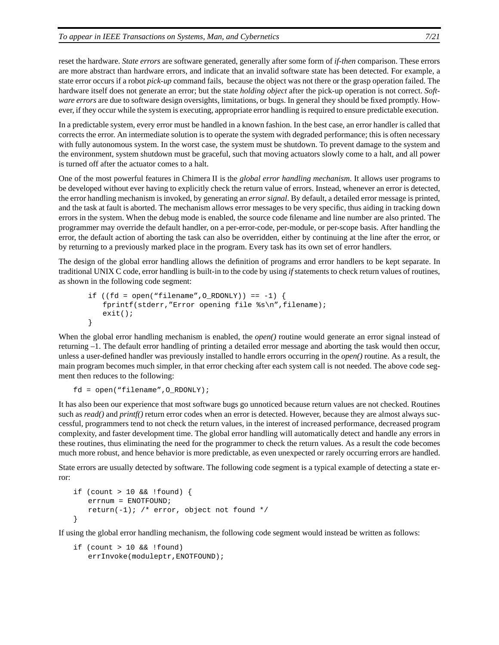reset the hardware. *State errors* are software generated, generally after some form of *if-then* comparison. These errors are more abstract than hardware errors, and indicate that an invalid software state has been detected. For example, a state error occurs if a robot *pick-up* command fails, because the object was not there or the grasp operation failed. The hardware itself does not generate an error; but the state *holding object* after the pick-up operation is not correct. *Software errors* are due to software design oversights, limitations, or bugs. In general they should be fixed promptly. However, if they occur while the system is executing, appropriate error handling is required to ensure predictable execution.

In a predictable system, every error must be handled in a known fashion. In the best case, an error handler is called that corrects the error. An intermediate solution is to operate the system with degraded performance; this is often necessary with fully autonomous system. In the worst case, the system must be shutdown. To prevent damage to the system and the environment, system shutdown must be graceful, such that moving actuators slowly come to a halt, and all power is turned off after the actuator comes to a halt.

One of the most powerful features in Chimera II is the *global error handling mechanism*. It allows user programs to be developed without ever having to explicitly check the return value of errors. Instead, whenever an error is detected, the error handling mechanism is invoked, by generating an *error signal*. By default, a detailed error message is printed, and the task at fault is aborted. The mechanism allows error messages to be very specific, thus aiding in tracking down errors in the system. When the debug mode is enabled, the source code filename and line number are also printed. The programmer may override the default handler, on a per-error-code, per-module, or per-scope basis. After handling the error, the default action of aborting the task can also be overridden, either by continuing at the line after the error, or by returning to a previously marked place in the program. Every task has its own set of error handlers.

The design of the global error handling allows the definition of programs and error handlers to be kept separate. In traditional UNIX C code, error handling is built-in to the code by using *if* statements to check return values of routines, as shown in the following code segment:

```
if ((fd = open("filename", O_RDONLY)) == -1) {
   fprintf(stderr,"Error opening file %s\n",filename);
   exit();
}
```
When the global error handling mechanism is enabled, the *open()* routine would generate an error signal instead of returning –1. The default error handling of printing a detailed error message and aborting the task would then occur, unless a user-defined handler was previously installed to handle errors occurring in the *open()* routine. As a result, the main program becomes much simpler, in that error checking after each system call is not needed. The above code segment then reduces to the following:

```
fd = open("filename",O_RDONLY);
```
It has also been our experience that most software bugs go unnoticed because return values are not checked. Routines such as *read()* and *printf()* return error codes when an error is detected. However, because they are almost always successful, programmers tend to not check the return values, in the interest of increased performance, decreased program complexity, and faster development time. The global error handling will automatically detect and handle any errors in these routines, thus eliminating the need for the programmer to check the return values. As a result the code becomes much more robust, and hence behavior is more predictable, as even unexpected or rarely occurring errors are handled.

State errors are usually detected by software. The following code segment is a typical example of detecting a state error:

```
if (count > 10 && !found) {
   errnum = ENOTFOUND;
   return(-1); /* error, object not found */
}
```
If using the global error handling mechanism, the following code segment would instead be written as follows:

```
if (count > 10 && !found)
   errInvoke(moduleptr,ENOTFOUND);
```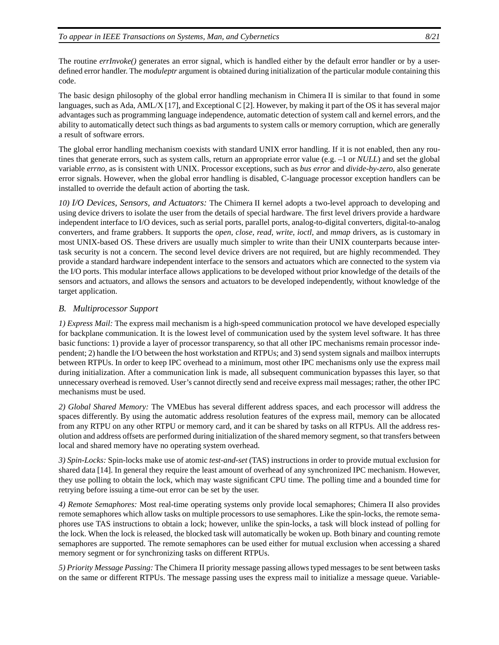The routine *errInvoke()* generates an error signal, which is handled either by the default error handler or by a userdefined error handler. The *moduleptr* argument is obtained during initialization of the particular module containing this code.

The basic design philosophy of the global error handling mechanism in Chimera II is similar to that found in some languages, such as Ada, AML/X [17], and Exceptional C [2]. However, by making it part of the OS it has several major advantages such as programming language independence, automatic detection of system call and kernel errors, and the ability to automatically detect such things as bad arguments to system calls or memory corruption, which are generally a result of software errors.

The global error handling mechanism coexists with standard UNIX error handling. If it is not enabled, then any routines that generate errors, such as system calls, return an appropriate error value (e.g. –1 or *NULL*) and set the global variable *errno*, as is consistent with UNIX. Processor exceptions, such as *bus error* and *divide-by-zero*, also generate error signals. However, when the global error handling is disabled, C-language processor exception handlers can be installed to override the default action of aborting the task.

*10) I/O Devices, Sensors, and Actuators:* The Chimera II kernel adopts a two-level approach to developing and using device drivers to isolate the user from the details of special hardware. The first level drivers provide a hardware independent interface to I/O devices, such as serial ports, parallel ports, analog-to-digital converters, digital-to-analog converters, and frame grabbers. It supports the *open, close, read, write, ioctl,* and *mmap* drivers, as is customary in most UNIX-based OS. These drivers are usually much simpler to write than their UNIX counterparts because intertask security is not a concern. The second level device drivers are not required, but are highly recommended. They provide a standard hardware independent interface to the sensors and actuators which are connected to the system via the I/O ports. This modular interface allows applications to be developed without prior knowledge of the details of the sensors and actuators, and allows the sensors and actuators to be developed independently, without knowledge of the target application.

### *B. Multiprocessor Support*

*1) Express Mail:* The express mail mechanism is a high-speed communication protocol we have developed especially for backplane communication. It is the lowest level of communication used by the system level software. It has three basic functions: 1) provide a layer of processor transparency, so that all other IPC mechanisms remain processor independent; 2) handle the I/O between the host workstation and RTPUs; and 3) send system signals and mailbox interrupts between RTPUs. In order to keep IPC overhead to a minimum, most other IPC mechanisms only use the express mail during initialization. After a communication link is made, all subsequent communication bypasses this layer, so that unnecessary overhead is removed. User's cannot directly send and receive express mail messages; rather, the other IPC mechanisms must be used.

*2) Global Shared Memory:* The VMEbus has several different address spaces, and each processor will address the spaces differently. By using the automatic address resolution features of the express mail, memory can be allocated from any RTPU on any other RTPU or memory card, and it can be shared by tasks on all RTPUs. All the address resolution and address offsets are performed during initialization of the shared memory segment, so that transfers between local and shared memory have no operating system overhead.

*3) Spin-Locks:* Spin-locks make use of atomic *test-and-set* (TAS) instructions in order to provide mutual exclusion for shared data [14]. In general they require the least amount of overhead of any synchronized IPC mechanism. However, they use polling to obtain the lock, which may waste significant CPU time. The polling time and a bounded time for retrying before issuing a time-out error can be set by the user.

*4) Remote Semaphores:* Most real-time operating systems only provide local semaphores; Chimera II also provides remote semaphores which allow tasks on multiple processors to use semaphores. Like the spin-locks, the remote semaphores use TAS instructions to obtain a lock; however, unlike the spin-locks, a task will block instead of polling for the lock. When the lock is released, the blocked task will automatically be woken up. Both binary and counting remote semaphores are supported. The remote semaphores can be used either for mutual exclusion when accessing a shared memory segment or for synchronizing tasks on different RTPUs.

*5) Priority Message Passing:* The Chimera II priority message passing allows typed messages to be sent between tasks on the same or different RTPUs. The message passing uses the express mail to initialize a message queue. Variable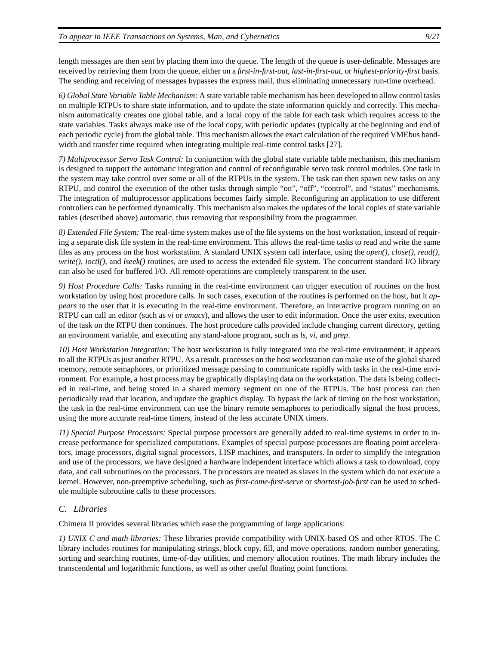length messages are then sent by placing them into the queue. The length of the queue is user-definable. Messages are received by retrieving them from the queue, either on a *first-in-first-out, last-in-first-out,* or *highest-priority-first* basis. The sending and receiving of messages bypasses the express mail, thus eliminating unnecessary run-time overhead.

*6) Global State Variable Table Mechanism:* A state variable table mechanism has been developed to allow control tasks on multiple RTPUs to share state information, and to update the state information quickly and correctly. This mechanism automatically creates one global table, and a local copy of the table for each task which requires access to the state variables. Tasks always make use of the local copy, with periodic updates (typically at the beginning and end of each periodic cycle) from the global table. This mechanism allows the exact calculation of the required VMEbus bandwidth and transfer time required when integrating multiple real-time control tasks [27].

*7) Multiprocessor Servo Task Control:* In conjunction with the global state variable table mechanism, this mechanism is designed to support the automatic integration and control of reconfigurable servo task control modules. One task in the system may take control over some or all of the RTPUs in the system. The task can then spawn new tasks on any RTPU, and control the execution of the other tasks through simple "on", "off", "control", and "status" mechanisms. The integration of multiprocessor applications becomes fairly simple. Reconfiguring an application to use different controllers can be performed dynamically. This mechanism also makes the updates of the local copies of state variable tables (described above) automatic, thus removing that responsibility from the programmer.

*8) Extended File System:* The real-time system makes use of the file systems on the host workstation, instead of requiring a separate disk file system in the real-time environment. This allows the real-time tasks to read and write the same files as any process on the host workstation. A standard UNIX system call interface, using the *open(), close(), read(), write(), ioctl(), and <i>lseek()* routines, are used to access the extended file system. The concurrent standard I/O library can also be used for buffered I/O. All remote operations are completely transparent to the user.

*9) Host Procedure Calls:* Tasks running in the real-time environment can trigger execution of routines on the host workstation by using host procedure calls. In such cases, execution of the routines is performed on the host, but it *appears* to the user that it is executing in the real-time environment. Therefore, an interactive program running on an RTPU can call an editor (such as *vi* or *emacs*), and allows the user to edit information. Once the user exits, execution of the task on the RTPU then continues. The host procedure calls provided include changing current directory, getting an environment variable, and executing any stand-alone program, such as *ls, vi,* and *grep*.

*10) Host Workstation Integration:* The host workstation is fully integrated into the real-time environment; it appears to all the RTPUs as just another RTPU. As a result, processes on the host workstation can make use of the global shared memory, remote semaphores, or prioritized message passing to communicate rapidly with tasks in the real-time environment. For example, a host process may be graphically displaying data on the workstation. The data is being collected in real-time, and being stored in a shared memory segment on one of the RTPUs. The host process can then periodically read that location, and update the graphics display. To bypass the lack of timing on the host workstation, the task in the real-time environment can use the binary remote semaphores to periodically signal the host process, using the more accurate real-time timers, instead of the less accurate UNIX timers.

*11) Special Purpose Processors:* Special purpose processors are generally added to real-time systems in order to increase performance for specialized computations. Examples of special purpose processors are floating point accelerators, image processors, digital signal processors, LISP machines, and transputers. In order to simplify the integration and use of the processors, we have designed a hardware independent interface which allows a task to download, copy data, and call subroutines on the processors. The processors are treated as slaves in the system which do not execute a kernel. However, non-preemptive scheduling, such as *first-come-first-serve* or *shortest-job-first* can be used to schedule multiple subroutine calls to these processors.

# *C. Libraries*

Chimera II provides several libraries which ease the programming of large applications:

*1) UNIX C and math libraries:* These libraries provide compatibility with UNIX-based OS and other RTOS. The C library includes routines for manipulating strings, block copy, fill, and move operations, random number generating, sorting and searching routines, time-of-day utilities, and memory allocation routines. The math library includes the transcendental and logarithmic functions, as well as other useful floating point functions.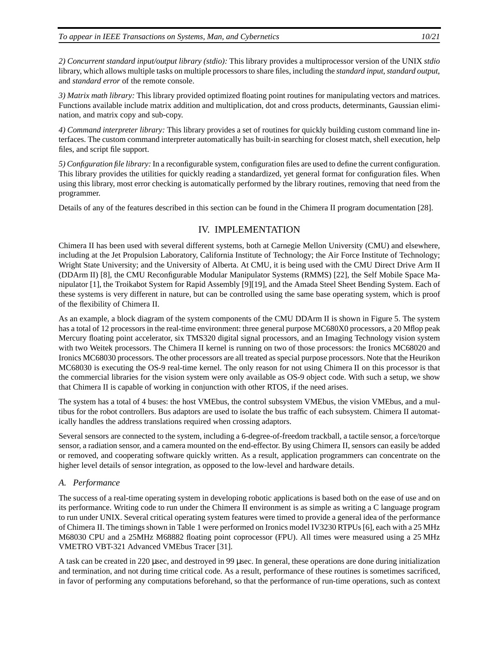*2) Concurrent standard input/output library (stdio):* This library provides a multiprocessor version of the UNIX *stdio* library, which allows multiple tasks on multiple processors to share files, including the *standard input*,*standard output*, and *standard error* of the remote console.

*3) Matrix math library:* This library provided optimized floating point routines for manipulating vectors and matrices. Functions available include matrix addition and multiplication, dot and cross products, determinants, Gaussian elimination, and matrix copy and sub-copy.

*4) Command interpreter library:* This library provides a set of routines for quickly building custom command line interfaces. The custom command interpreter automatically has built-in searching for closest match, shell execution, help files, and script file support.

*5) Configuration file library:* In a reconfigurable system, configuration files are used to define the current configuration. This library provides the utilities for quickly reading a standardized, yet general format for configuration files. When using this library, most error checking is automatically performed by the library routines, removing that need from the programmer.

Details of any of the features described in this section can be found in the Chimera II program documentation [28].

# IV. IMPLEMENTATION

Chimera II has been used with several different systems, both at Carnegie Mellon University (CMU) and elsewhere, including at the Jet Propulsion Laboratory, California Institute of Technology; the Air Force Institute of Technology; Wright State University; and the University of Alberta. At CMU, it is being used with the CMU Direct Drive Arm II (DDArm II) [8], the CMU Reconfigurable Modular Manipulator Systems (RMMS) [22], the Self Mobile Space Manipulator [1], the Troikabot System for Rapid Assembly [9][19], and the Amada Steel Sheet Bending System. Each of these systems is very different in nature, but can be controlled using the same base operating system, which is proof of the flexibility of Chimera II.

As an example, a block diagram of the system components of the CMU DDArm II is shown in Figure 5. The system has a total of 12 processors in the real-time environment: three general purpose MC680X0 processors, a 20 Mflop peak Mercury floating point accelerator, six TMS320 digital signal processors, and an Imaging Technology vision system with two Weitek processors. The Chimera II kernel is running on two of those processors: the Ironics MC68020 and Ironics MC68030 processors. The other processors are all treated as special purpose processors. Note that the Heurikon MC68030 is executing the OS-9 real-time kernel. The only reason for not using Chimera II on this processor is that the commercial libraries for the vision system were only available as OS-9 object code. With such a setup, we show that Chimera II is capable of working in conjunction with other RTOS, if the need arises.

The system has a total of 4 buses: the host VMEbus, the control subsystem VMEbus, the vision VMEbus, and a multibus for the robot controllers. Bus adaptors are used to isolate the bus traffic of each subsystem. Chimera II automatically handles the address translations required when crossing adaptors.

Several sensors are connected to the system, including a 6-degree-of-freedom trackball, a tactile sensor, a force/torque sensor, a radiation sensor, and a camera mounted on the end-effector. By using Chimera II, sensors can easily be added or removed, and cooperating software quickly written. As a result, application programmers can concentrate on the higher level details of sensor integration, as opposed to the low-level and hardware details.

# *A. Performance*

The success of a real-time operating system in developing robotic applications is based both on the ease of use and on its performance. Writing code to run under the Chimera II environment is as simple as writing a C language program to run under UNIX. Several critical operating system features were timed to provide a general idea of the performance of Chimera II. The timings shown in Table 1 were performed on Ironics model IV3230 RTPUs [6], each with a 25 MHz M68030 CPU and a 25MHz M68882 floating point coprocessor (FPU). All times were measured using a 25 MHz VMETRO VBT-321 Advanced VMEbus Tracer [31].

A task can be created in 220 µsec, and destroyed in 99 µsec. In general, these operations are done during initialization and termination, and not during time critical code. As a result, performance of these routines is sometimes sacrificed, in favor of performing any computations beforehand, so that the performance of run-time operations, such as context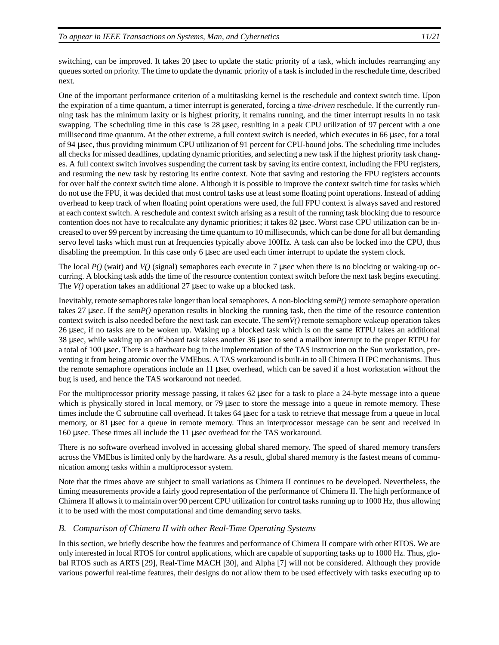switching, can be improved. It takes 20 usec to update the static priority of a task, which includes rearranging any queues sorted on priority. The time to update the dynamic priority of a task is included in the reschedule time, described next.

One of the important performance criterion of a multitasking kernel is the reschedule and context switch time. Upon the expiration of a time quantum, a timer interrupt is generated, forcing a *time-driven* reschedule. If the currently running task has the minimum laxity or is highest priority, it remains running, and the timer interrupt results in no task swapping. The scheduling time in this case is 28 µsec, resulting in a peak CPU utilization of 97 percent with a one millisecond time quantum. At the other extreme, a full context switch is needed, which executes in 66 µsec, for a total of 94 µsec, thus providing minimum CPU utilization of 91 percent for CPU-bound jobs. The scheduling time includes all checks for missed deadlines, updating dynamic priorities, and selecting a new task if the highest priority task changes. A full context switch involves suspending the current task by saving its entire context, including the FPU registers, and resuming the new task by restoring its entire context. Note that saving and restoring the FPU registers accounts for over half the context switch time alone. Although it is possible to improve the context switch time for tasks which do not use the FPU, it was decided that most control tasks use at least some floating point operations. Instead of adding overhead to keep track of when floating point operations were used, the full FPU context is always saved and restored at each context switch. A reschedule and context switch arising as a result of the running task blocking due to resource contention does not have to recalculate any dynamic priorities; it takes 82 µsec. Worst case CPU utilization can be increased to over 99 percent by increasing the time quantum to 10 milliseconds, which can be done for all but demanding servo level tasks which must run at frequencies typically above 100Hz. A task can also be locked into the CPU, thus disabling the preemption. In this case only 6 µsec are used each timer interrupt to update the system clock.

The local  $P$ () (wait) and  $V$ () (signal) semaphores each execute in 7 usec when there is no blocking or waking-up occurring. A blocking task adds the time of the resource contention context switch before the next task begins executing. The *V()* operation takes an additional 27 µsec to wake up a blocked task.

Inevitably, remote semaphores take longer than local semaphores. A non-blocking *semP()* remote semaphore operation takes 27 µsec. If the *semP()* operation results in blocking the running task, then the time of the resource contention context switch is also needed before the next task can execute. The  $semV()$  remote semaphore wakeup operation takes 26 µsec, if no tasks are to be woken up. Waking up a blocked task which is on the same RTPU takes an additional 38 µsec, while waking up an off-board task takes another 36 µsec to send a mailbox interrupt to the proper RTPU for a total of 100 µsec. There is a hardware bug in the implementation of the TAS instruction on the Sun workstation, preventing it from being atomic over the VMEbus. A TAS workaround is built-in to all Chimera II IPC mechanisms. Thus the remote semaphore operations include an 11 µsec overhead, which can be saved if a host workstation without the bug is used, and hence the TAS workaround not needed.

For the multiprocessor priority message passing, it takes 62 µsec for a task to place a 24-byte message into a queue which is physically stored in local memory, or 79 µsec to store the message into a queue in remote memory. These times include the C subroutine call overhead. It takes 64 µsec for a task to retrieve that message from a queue in local memory, or 81 µsec for a queue in remote memory. Thus an interprocessor message can be sent and received in 160 µsec. These times all include the 11 µsec overhead for the TAS workaround.

There is no software overhead involved in accessing global shared memory. The speed of shared memory transfers across the VMEbus is limited only by the hardware. As a result, global shared memory is the fastest means of communication among tasks within a multiprocessor system.

Note that the times above are subject to small variations as Chimera II continues to be developed. Nevertheless, the timing measurements provide a fairly good representation of the performance of Chimera II. The high performance of Chimera II allows it to maintain over 90 percent CPU utilization for control tasks running up to 1000 Hz, thus allowing it to be used with the most computational and time demanding servo tasks.

# *B. Comparison of Chimera II with other Real-Time Operating Systems*

In this section, we briefly describe how the features and performance of Chimera II compare with other RTOS. We are only interested in local RTOS for control applications, which are capable of supporting tasks up to 1000 Hz. Thus, global RTOS such as ARTS [29], Real-Time MACH [30], and Alpha [7] will not be considered. Although they provide various powerful real-time features, their designs do not allow them to be used effectively with tasks executing up to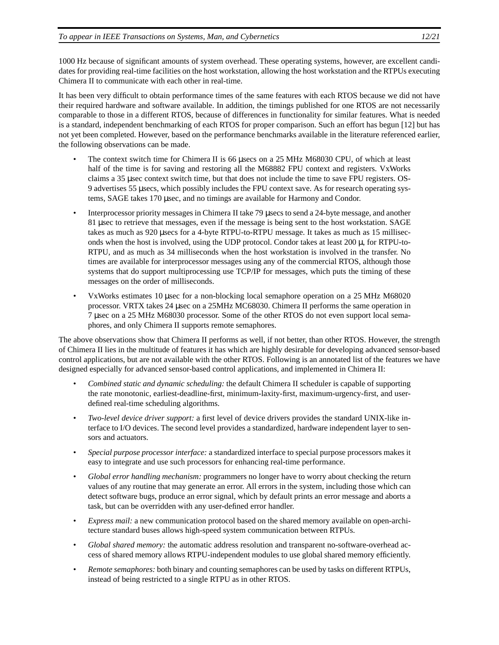1000 Hz because of significant amounts of system overhead. These operating systems, however, are excellent candidates for providing real-time facilities on the host workstation, allowing the host workstation and the RTPUs executing Chimera II to communicate with each other in real-time.

It has been very difficult to obtain performance times of the same features with each RTOS because we did not have their required hardware and software available. In addition, the timings published for one RTOS are not necessarily comparable to those in a different RTOS, because of differences in functionality for similar features. What is needed is a standard, independent benchmarking of each RTOS for proper comparison. Such an effort has begun [12] but has not yet been completed. However, based on the performance benchmarks available in the literature referenced earlier, the following observations can be made.

- The context switch time for Chimera II is 66 µsecs on a 25 MHz M68030 CPU, of which at least half of the time is for saving and restoring all the M68882 FPU context and registers. VxWorks claims a 35 µsec context switch time, but that does not include the time to save FPU registers. OS-9 advertises 55 µsecs, which possibly includes the FPU context save. As for research operating systems, SAGE takes 170 µsec, and no timings are available for Harmony and Condor.
- Interprocessor priority messages in Chimera II take 79 µsecs to send a 24-byte message, and another 81 µsec to retrieve that messages, even if the message is being sent to the host workstation. SAGE takes as much as 920 µsecs for a 4-byte RTPU-to-RTPU message. It takes as much as 15 milliseconds when the host is involved, using the UDP protocol. Condor takes at least  $200 \mu$ , for RTPU-to-RTPU, and as much as 34 milliseconds when the host workstation is involved in the transfer. No times are available for interprocessor messages using any of the commercial RTOS, although those systems that do support multiprocessing use TCP/IP for messages, which puts the timing of these messages on the order of milliseconds.
- VxWorks estimates 10 µsec for a non-blocking local semaphore operation on a 25 MHz M68020 processor. VRTX takes 24 µsec on a 25MHz MC68030. Chimera II performs the same operation in 7 µsec on a 25 MHz M68030 processor. Some of the other RTOS do not even support local semaphores, and only Chimera II supports remote semaphores.

The above observations show that Chimera II performs as well, if not better, than other RTOS. However, the strength of Chimera II lies in the multitude of features it has which are highly desirable for developing advanced sensor-based control applications, but are not available with the other RTOS. Following is an annotated list of the features we have designed especially for advanced sensor-based control applications, and implemented in Chimera II:

- *Combined static and dynamic scheduling:* the default Chimera II scheduler is capable of supporting the rate monotonic, earliest-deadline-first, minimum-laxity-first, maximum-urgency-first, and userdefined real-time scheduling algorithms.
- *Two-level device driver support:* a first level of device drivers provides the standard UNIX-like interface to I/O devices. The second level provides a standardized, hardware independent layer to sensors and actuators.
- *Special purpose processor interface:* a standardized interface to special purpose processors makes it easy to integrate and use such processors for enhancing real-time performance.
- *Global error handling mechanism:* programmers no longer have to worry about checking the return values of any routine that may generate an error. All errors in the system, including those which can detect software bugs, produce an error signal, which by default prints an error message and aborts a task, but can be overridden with any user-defined error handler.
- *Express mail:* a new communication protocol based on the shared memory available on open-architecture standard buses allows high-speed system communication between RTPUs.
- *Global shared memory:* the automatic address resolution and transparent no-software-overhead access of shared memory allows RTPU-independent modules to use global shared memory efficiently.
- *Remote semaphores:* both binary and counting semaphores can be used by tasks on different RTPUs, instead of being restricted to a single RTPU as in other RTOS.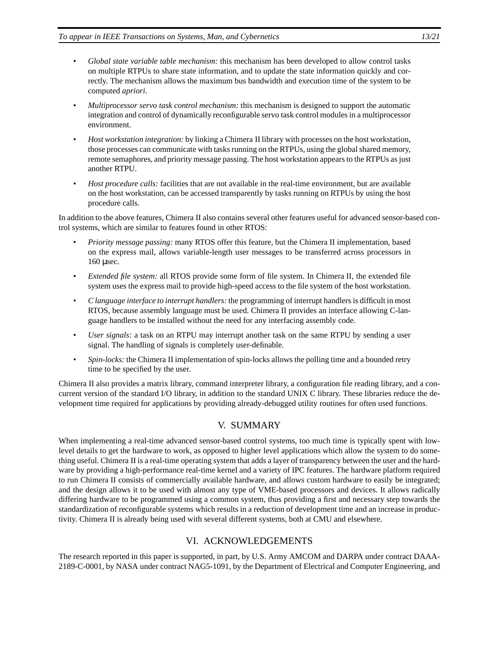- *Global state variable table mechanism:* this mechanism has been developed to allow control tasks on multiple RTPUs to share state information, and to update the state information quickly and correctly. The mechanism allows the maximum bus bandwidth and execution time of the system to be computed *apriori*.
- *Multiprocessor servo task control mechanism:* this mechanism is designed to support the automatic integration and control of dynamically reconfigurable servo task control modules in a multiprocessor environment.
- *Host workstation integration:* by linking a Chimera II library with processes on the host workstation, those processes can communicate with tasks running on the RTPUs, using the global shared memory, remote semaphores, and priority message passing. The host workstation appears to the RTPUs as just another RTPU.
- *Host procedure calls:* facilities that are not available in the real-time environment, but are available on the host workstation, can be accessed transparently by tasks running on RTPUs by using the host procedure calls.

In addition to the above features, Chimera II also contains several other features useful for advanced sensor-based control systems, which are similar to features found in other RTOS:

- *Priority message passing:* many RTOS offer this feature, but the Chimera II implementation, based on the express mail, allows variable-length user messages to be transferred across processors in 160 µsec.
- *Extended file system:* all RTOS provide some form of file system. In Chimera II, the extended file system uses the express mail to provide high-speed access to the file system of the host workstation.
- *C language interface to interrupt handlers:* the programming of interrupt handlers is difficult in most RTOS, because assembly language must be used. Chimera II provides an interface allowing C-language handlers to be installed without the need for any interfacing assembly code.
- *User signals:* a task on an RTPU may interrupt another task on the same RTPU by sending a user signal. The handling of signals is completely user-definable.
- *Spin-locks:* the Chimera II implementation of spin-locks allows the polling time and a bounded retry time to be specified by the user.

Chimera II also provides a matrix library, command interpreter library, a configuration file reading library, and a concurrent version of the standard I/O library, in addition to the standard UNIX C library. These libraries reduce the development time required for applications by providing already-debugged utility routines for often used functions.

# V. SUMMARY

When implementing a real-time advanced sensor-based control systems, too much time is typically spent with lowlevel details to get the hardware to work, as opposed to higher level applications which allow the system to do something useful. Chimera II is a real-time operating system that adds a layer of transparency between the user and the hardware by providing a high-performance real-time kernel and a variety of IPC features. The hardware platform required to run Chimera II consists of commercially available hardware, and allows custom hardware to easily be integrated; and the design allows it to be used with almost any type of VME-based processors and devices. It allows radically differing hardware to be programmed using a common system, thus providing a first and necessary step towards the standardization of reconfigurable systems which results in a reduction of development time and an increase in productivity. Chimera II is already being used with several different systems, both at CMU and elsewhere.

# VI. ACKNOWLEDGEMENTS

The research reported in this paper is supported, in part, by U.S. Army AMCOM and DARPA under contract DAAA-2189-C-0001, by NASA under contract NAG5-1091, by the Department of Electrical and Computer Engineering, and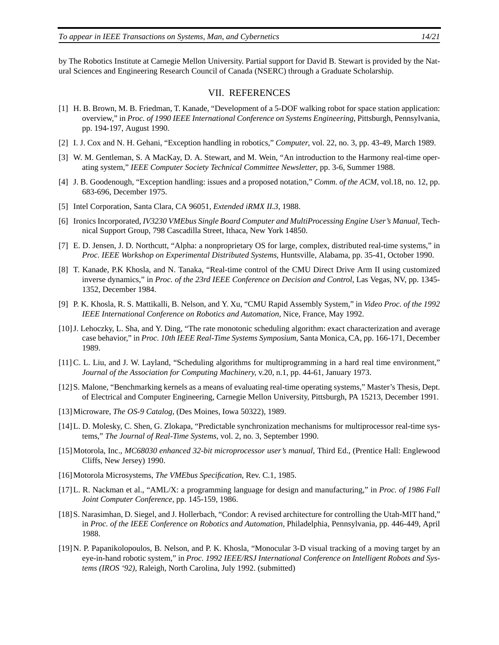by The Robotics Institute at Carnegie Mellon University. Partial support for David B. Stewart is provided by the Natural Sciences and Engineering Research Council of Canada (NSERC) through a Graduate Scholarship.

#### VII. REFERENCES

- [1] H. B. Brown, M. B. Friedman, T. Kanade, "Development of a 5-DOF walking robot for space station application: overview," in *Proc. of 1990 IEEE International Conference on Systems Engineering*, Pittsburgh, Pennsylvania, pp. 194-197, August 1990.
- [2] I. J. Cox and N. H. Gehani, "Exception handling in robotics," *Computer*, vol. 22, no. 3, pp. 43-49, March 1989.
- [3] W. M. Gentleman, S. A MacKay, D. A. Stewart, and M. Wein, "An introduction to the Harmony real-time operating system," *IEEE Computer Society Technical Committee Newsletter*, pp. 3-6, Summer 1988.
- [4] J. B. Goodenough, "Exception handling: issues and a proposed notation," *Comm. of the ACM*, vol.18, no. 12, pp. 683-696, December 1975.
- [5] Intel Corporation, Santa Clara, CA 96051, *Extended iRMX II.3*, 1988.
- [6] Ironics Incorporated, *IV3230 VMEbus Single Board Computer and MultiProcessing Engine User's Manual,* Technical Support Group, 798 Cascadilla Street, Ithaca, New York 14850.
- [7] E. D. Jensen, J. D. Northcutt, "Alpha: a nonproprietary OS for large, complex, distributed real-time systems," in *Proc. IEEE Workshop on Experimental Distributed Systems*, Huntsville, Alabama, pp. 35-41, October 1990.
- [8] T. Kanade, P.K Khosla, and N. Tanaka, "Real-time control of the CMU Direct Drive Arm II using customized inverse dynamics," in *Proc. of the 23rd IEEE Conference on Decision and Control*, Las Vegas, NV, pp. 1345- 1352, December 1984.
- [9] P. K. Khosla, R. S. Mattikalli, B. Nelson, and Y. Xu, "CMU Rapid Assembly System," in *Video Proc. of the 1992 IEEE International Conference on Robotics and Automation,* Nice, France, May 1992.
- [10] J. Lehoczky, L. Sha, and Y. Ding, "The rate monotonic scheduling algorithm: exact characterization and average case behavior," in *Proc. 10th IEEE Real-Time Systems Symposium*, Santa Monica, CA, pp. 166-171, December 1989.
- [11] C. L. Liu, and J. W. Layland, "Scheduling algorithms for multiprogramming in a hard real time environment," *Journal of the Association for Computing Machinery*, v.20, n.1, pp. 44-61, January 1973.
- [12] S. Malone, "Benchmarking kernels as a means of evaluating real-time operating systems," Master's Thesis, Dept. of Electrical and Computer Engineering, Carnegie Mellon University, Pittsburgh, PA 15213, December 1991.
- [13] Microware, *The OS-9 Catalog,* (Des Moines, Iowa 50322), 1989.
- [14] L. D. Molesky, C. Shen, G. Zlokapa, "Predictable synchronization mechanisms for multiprocessor real-time systems," *The Journal of Real-Time Systems*, vol. 2, no. 3, September 1990.
- [15] Motorola, Inc., *MC68030 enhanced 32-bit microprocessor user's manual*, Third Ed., (Prentice Hall: Englewood Cliffs, New Jersey) 1990.
- [16] Motorola Microsystems, *The VMEbus Specification*, Rev. C.1, 1985.
- [17] L. R. Nackman et al., "AML/X: a programming language for design and manufacturing," in *Proc. of 1986 Fall Joint Computer Conference,* pp. 145-159, 1986.
- [18] S. Narasimhan, D. Siegel, and J. Hollerbach, "Condor: A revised architecture for controlling the Utah-MIT hand," in *Proc. of the IEEE Conference on Robotics and Automation,* Philadelphia, Pennsylvania, pp. 446-449, April 1988.
- [19] N. P. Papanikolopoulos, B. Nelson, and P. K. Khosla, "Monocular 3-D visual tracking of a moving target by an eye-in-hand robotic system," in *Proc. 1992 IEEE/RSJ International Conference on Intelligent Robots and Systems (IROS '92)*, Raleigh, North Carolina, July 1992. (submitted)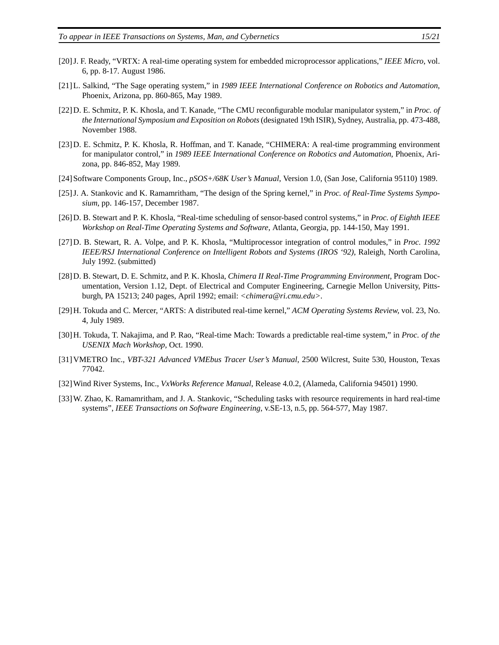- [20] J. F. Ready, "VRTX: A real-time operating system for embedded microprocessor applications," *IEEE Micro*, vol. 6, pp. 8-17. August 1986.
- [21] L. Salkind, "The Sage operating system," in *1989 IEEE International Conference on Robotics and Automation*, Phoenix, Arizona, pp. 860-865, May 1989.
- [22] D. E. Schmitz, P. K. Khosla, and T. Kanade, "The CMU reconfigurable modular manipulator system," in *Proc. of the International Symposium and Exposition on Robots* (designated 19th ISIR), Sydney, Australia, pp. 473-488, November 1988.
- [23] D. E. Schmitz, P. K. Khosla, R. Hoffman, and T. Kanade, "CHIMERA: A real-time programming environment for manipulator control," in *1989 IEEE International Conference on Robotics and Automation*, Phoenix, Arizona, pp. 846-852, May 1989.
- [24] Software Components Group, Inc., *pSOS+/68K User's Manual*, Version 1.0, (San Jose, California 95110) 1989.
- [25] J. A. Stankovic and K. Ramamritham, "The design of the Spring kernel," in *Proc. of Real-Time Systems Symposium*, pp. 146-157, December 1987.
- [26] D. B. Stewart and P. K. Khosla, "Real-time scheduling of sensor-based control systems," in *Proc. of Eighth IEEE Workshop on Real-Time Operating Systems and Software*, Atlanta, Georgia, pp. 144-150, May 1991.
- [27] D. B. Stewart, R. A. Volpe, and P. K. Khosla, "Multiprocessor integration of control modules," in *Proc. 1992 IEEE/RSJ International Conference on Intelligent Robots and Systems (IROS '92)*, Raleigh, North Carolina, July 1992. (submitted)
- [28] D. B. Stewart, D. E. Schmitz, and P. K. Khosla, *Chimera II Real-Time Programming Environment*, Program Documentation, Version 1.12, Dept. of Electrical and Computer Engineering, Carnegie Mellon University, Pittsburgh, PA 15213; 240 pages, April 1992; email: *<chimera@ri.cmu.edu>*.
- [29] H. Tokuda and C. Mercer, "ARTS: A distributed real-time kernel," *ACM Operating Systems Review,* vol. 23, No. 4, July 1989.
- [30] H. Tokuda, T. Nakajima, and P. Rao, "Real-time Mach: Towards a predictable real-time system," in *Proc. of the USENIX Mach Workshop*, Oct. 1990.
- [31] VMETRO Inc., *VBT-321 Advanced VMEbus Tracer User's Manual*, 2500 Wilcrest, Suite 530, Houston, Texas 77042.
- [32] Wind River Systems, Inc., *VxWorks Reference Manual*, Release 4.0.2, (Alameda, California 94501) 1990.
- [33] W. Zhao, K. Ramamritham, and J. A. Stankovic, "Scheduling tasks with resource requirements in hard real-time systems", *IEEE Transactions on Software Engineering*, v.SE-13, n.5, pp. 564-577, May 1987.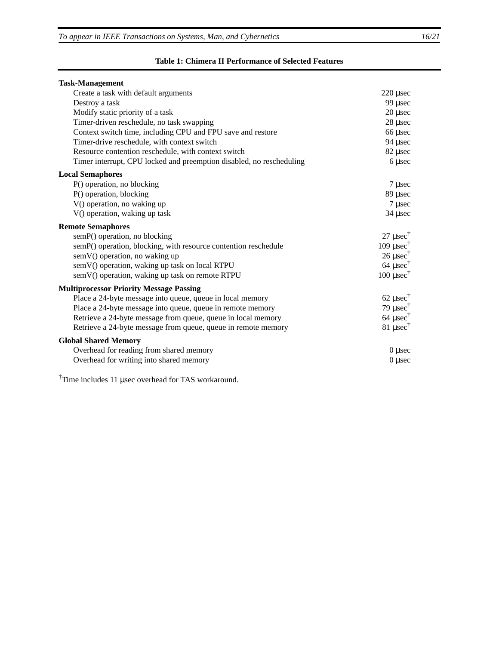| <b>Task-Management</b>                                               |                               |
|----------------------------------------------------------------------|-------------------------------|
| Create a task with default arguments                                 | $220 \mu$ sec                 |
| Destroy a task                                                       | 99 µsec                       |
| Modify static priority of a task                                     | $20 \mu$ sec                  |
| Timer-driven reschedule, no task swapping                            | 28 µsec                       |
| Context switch time, including CPU and FPU save and restore          | 66 µsec                       |
| Timer-drive reschedule, with context switch                          | 94 µsec                       |
| Resource contention reschedule, with context switch                  | 82 µsec                       |
| Timer interrupt, CPU locked and preemption disabled, no rescheduling | 6 µsec                        |
| <b>Local Semaphores</b>                                              |                               |
| P() operation, no blocking                                           | $7$ µsec                      |
| P() operation, blocking                                              | 89 µsec                       |
| V() operation, no waking up                                          | $7$ µsec                      |
| V() operation, waking up task                                        | 34 µsec                       |
| <b>Remote Semaphores</b>                                             |                               |
| semP() operation, no blocking                                        | $27 \mu$ sec <sup>†</sup>     |
| semP() operation, blocking, with resource contention reschedule      | 109 $\mu$ sec <sup>†</sup>    |
| semV() operation, no waking up                                       | $26 \mu \text{sec}^{\dagger}$ |
| semV() operation, waking up task on local RTPU                       | $64 \mu \text{sec}^{\dagger}$ |
| semV() operation, waking up task on remote RTPU                      | $100 \mu sec^{\dagger}$       |
| <b>Multiprocessor Priority Message Passing</b>                       |                               |
| Place a 24-byte message into queue, queue in local memory            | $62 \mu \text{sec}^{\dagger}$ |
| Place a 24-byte message into queue, queue in remote memory           | 79 μsec $†$                   |
| Retrieve a 24-byte message from queue, queue in local memory         | $64 \mu \text{sec}^{\dagger}$ |
| Retrieve a 24-byte message from queue, queue in remote memory        | $81 \mu \text{sec}^{\dagger}$ |
| <b>Global Shared Memory</b>                                          |                               |
| Overhead for reading from shared memory                              | $0 \mu$ sec                   |
| Overhead for writing into shared memory                              | $0 \mu$ sec                   |

†Time includes 11 µsec overhead for TAS workaround.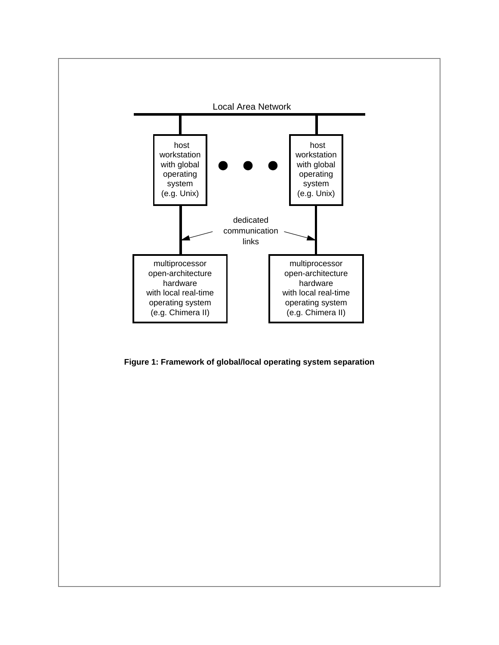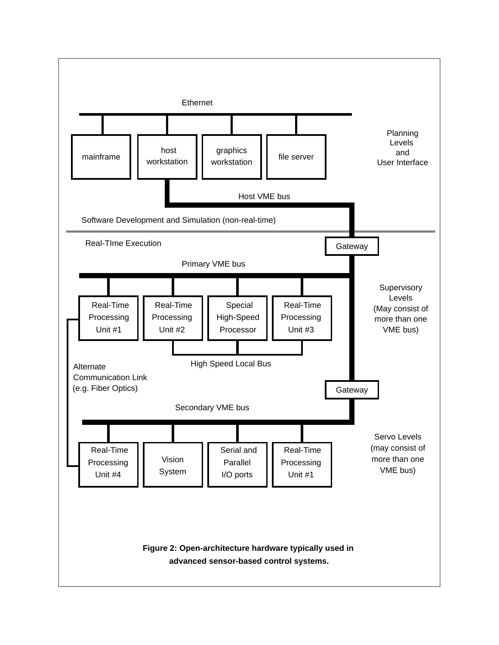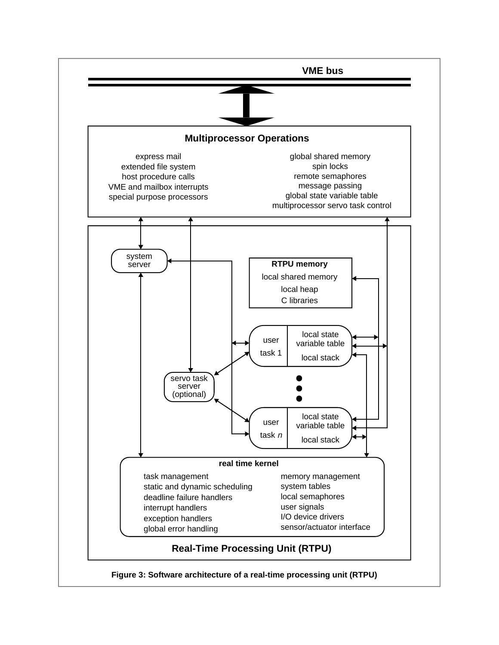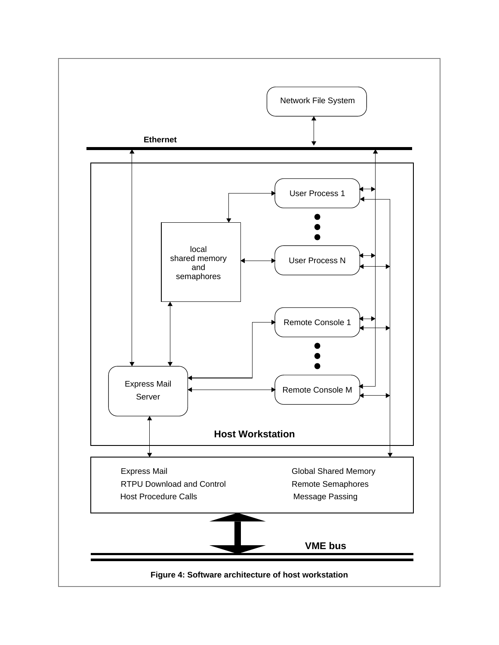